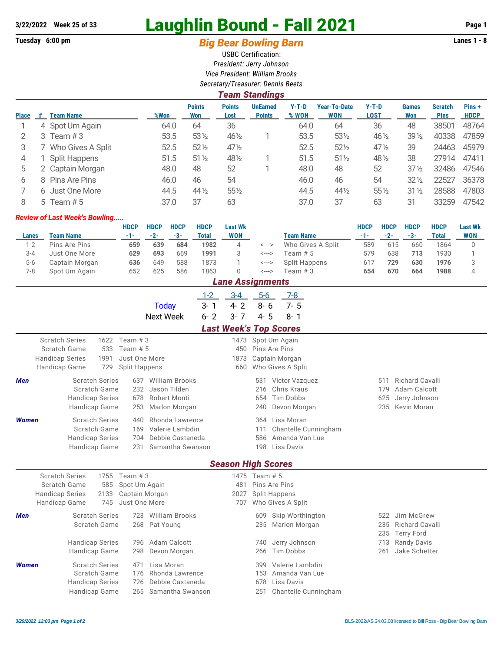# **3/22/2022 Week 25 of 33** Laughlin Bound - Fall 2021 **Page 1**

## Tuesday 6:00 pm **Big Bear Bowling Barn Barn Lanes 1 - 8**

USBC Certification: *President: Jerry Johnson Vice President: William Brooks Secretary/Treasurer: Dennis Beets*

|              | <b>Team Standings</b> |                   |      |                      |                       |                                  |                  |                                   |                        |                     |                               |                      |  |
|--------------|-----------------------|-------------------|------|----------------------|-----------------------|----------------------------------|------------------|-----------------------------------|------------------------|---------------------|-------------------------------|----------------------|--|
| <b>Place</b> | #                     | <b>Team Name</b>  | %Won | <b>Points</b><br>Won | <b>Points</b><br>Lost | <b>UnEarned</b><br><b>Points</b> | $Y-T-D$<br>% WON | <b>Year-To-Date</b><br><b>WON</b> | $Y-T-D$<br><b>LOST</b> | <b>Games</b><br>Won | <b>Scratch</b><br><b>Pins</b> | Pins+<br><b>HDCP</b> |  |
|              |                       | 4 Spot Um Again   | 64.0 | 64                   | 36                    |                                  | 64.0             | 64                                | 36                     | 48                  | 38501                         | 48764                |  |
|              | 3                     | Team $#3$         | 53.5 | $53\%$               | 461/2                 |                                  | 53.5             | 531/2                             | 46 1/2                 | $39\frac{1}{2}$     | 40338                         | 47859                |  |
| 3            |                       | Who Gives A Split | 52.5 | $52\frac{1}{2}$      | $47\frac{1}{2}$       |                                  | 52.5             | $52\frac{1}{2}$                   | $47\frac{1}{2}$        | 39                  | 24463                         | 45979                |  |
| 4            |                       | Split Happens     | 51.5 | $51\frac{1}{2}$      | 481/2                 |                                  | 51.5             | $51\%$                            | 48 1/2                 | 38                  | 27914                         | 47411                |  |
| 5            |                       | 2 Captain Morgan  | 48.0 | 48                   | 52                    |                                  | 48.0             | 48                                | 52                     | $37\frac{1}{2}$     | 32486                         | 47546                |  |
| 6            | 8.                    | Pins Are Pins     | 46.0 | 46                   | 54                    |                                  | 46.0             | 46                                | 54                     | $32\frac{1}{2}$     | 22527                         | 36378                |  |
|              |                       | 6 Just One More   | 44.5 | $44\frac{1}{2}$      | $55\%$                |                                  | 44.5             | $44\frac{1}{2}$                   | 55 1/2                 | $31\frac{1}{2}$     | 28588                         | 47803                |  |
| 8            |                       | 5 Team $# 5$      | 37.0 | 37                   | 63                    |                                  | 37.0             | 37                                | 63                     | 31                  | 33259                         | 47542                |  |

#### *Review of Last Week's Bowling.....*

|         |                | <b>HDCP</b> | <b>HDCP</b> | <b>HDCP</b> | <b>HDCP</b> | <b>Last Wk</b>     |       |                   | <b>HDCP</b> | <b>HDCP</b> | <b>HDCP</b> | <b>HDCP</b> | <b>Last Wk</b> |
|---------|----------------|-------------|-------------|-------------|-------------|--------------------|-------|-------------------|-------------|-------------|-------------|-------------|----------------|
| Lanes   | Team Name      | -1-1        | $-2-$       | $-3-$       | Total       | WON                |       | <b>Team Name</b>  |             | $-2-$       | -3-         | Total       | WON            |
| $1-2$   | Pins Are Pins  | 659         | 639         | 684         | 1982        | 4                  | <---> | Who Gives A Split | 589         | 615         | 660         | 1864        |                |
| $3 - 4$ | Just One More  | 629         | 693         | 669         | 1991        |                    | <---> | Team # 5          | 579         | 638         | 713         | 1930        |                |
| $5-6$   | Captain Morgan | 636         | 649         | 588         | 1873        |                    | <---> | Split Happens     | 617         | 729         | 630         | 1976        |                |
| 7-8     | Spot Um Again  | 652         | 625         | 586         | 1863        |                    | <---> | Team # 3          | 654         | 670         | 664         | 1988        |                |
|         |                |             |             |             |             | l ana Accianmante. |       |                   |             |             |             |             |                |

|              | Lane Assignments                                                                                                                                                                           |                            |                                                                |                                                                           |         |                            |                                                       |  |                                                                         |                          |                                                                        |  |  |  |
|--------------|--------------------------------------------------------------------------------------------------------------------------------------------------------------------------------------------|----------------------------|----------------------------------------------------------------|---------------------------------------------------------------------------|---------|----------------------------|-------------------------------------------------------|--|-------------------------------------------------------------------------|--------------------------|------------------------------------------------------------------------|--|--|--|
|              |                                                                                                                                                                                            |                            |                                                                |                                                                           | $1 - 2$ | $3 - 4$                    | $5-6$                                                 |  | 7-8                                                                     |                          |                                                                        |  |  |  |
|              |                                                                                                                                                                                            |                            |                                                                | <b>Today</b>                                                              | $3 - 1$ | $4 - 2$                    | $8 - 6$                                               |  | $7 - 5$                                                                 |                          |                                                                        |  |  |  |
|              |                                                                                                                                                                                            |                            |                                                                | <b>Next Week</b>                                                          | $6 - 2$ | $3 - 7$                    | $4 - 5$                                               |  | $8 - 1$                                                                 |                          |                                                                        |  |  |  |
|              | <b>Last Week's Top Scores</b>                                                                                                                                                              |                            |                                                                |                                                                           |         |                            |                                                       |  |                                                                         |                          |                                                                        |  |  |  |
|              | <b>Scratch Series</b><br>Scratch Game<br><b>Handicap Series</b><br>Handicap Game                                                                                                           | 1622<br>533<br>1991<br>729 | Team $#3$<br>Team # 5<br>Just One More<br><b>Split Happens</b> |                                                                           |         | 1473<br>450<br>1873<br>660 | Spot Um Again<br>Pins Are Pins                        |  | Captain Morgan<br>Who Gives A Split                                     |                          |                                                                        |  |  |  |
| Men          | <b>Scratch Series</b><br>Scratch Game<br><b>Handicap Series</b><br><b>Handicap Game</b>                                                                                                    |                            | 637<br>232<br>678<br>253                                       | <b>William Brooks</b><br>Jason Tilden<br>Robert Monti<br>Marlon Morgan    |         |                            | 531<br>216<br>654<br>240                              |  | Victor Vazquez<br>Chris Kraus<br>Tim Dobbs<br>Devon Morgan              | 511<br>179<br>625<br>235 | <b>Richard Cavalli</b><br>Adam Calcott<br>Jerry Johnson<br>Kevin Moran |  |  |  |
| <b>Women</b> | Rhonda Lawrence<br><b>Scratch Series</b><br>440<br>Valerie Lambdin<br>Scratch Game<br>169<br>Debbie Castaneda<br><b>Handicap Series</b><br>704<br>Handicap Game<br>Samantha Swanson<br>231 |                            |                                                                |                                                                           |         |                            | 364<br>111<br>586<br>198<br><b>Season High Scores</b> |  | Lisa Moran<br>Chantelle Cunningham<br>Amanda Van Lue<br>Lisa Davis      |                          |                                                                        |  |  |  |
|              | <b>Scratch Series</b>                                                                                                                                                                      | 1755                       | Team $#3$                                                      |                                                                           |         |                            | 1475 Team # 5                                         |  |                                                                         |                          |                                                                        |  |  |  |
|              | Scratch Game<br><b>Handicap Series</b><br>Handicap Game                                                                                                                                    | 585<br>2133<br>745         | Spot Um Again<br>Captain Morgan<br>Just One More               |                                                                           |         | 481<br>2027<br>707         | Pins Are Pins<br><b>Split Happens</b>                 |  | Who Gives A Split                                                       |                          |                                                                        |  |  |  |
| <b>Men</b>   | <b>Scratch Series</b><br>Scratch Game                                                                                                                                                      |                            |                                                                | 723 William Brooks<br>268 Pat Young                                       |         |                            | 609<br>235                                            |  | Skip Worthington<br>Marlon Morgan                                       | 522<br>235<br>235        | Jim McGrew<br>Richard Cavalli<br><b>Terry Ford</b>                     |  |  |  |
|              | <b>Handicap Series</b><br>Handicap Game                                                                                                                                                    |                            | 796<br>298                                                     | Adam Calcott<br>Devon Morgan                                              |         |                            | 740<br>266                                            |  | Jerry Johnson<br>Tim Dobbs                                              | 713<br>261               | Randy Davis<br>Jake Schetter                                           |  |  |  |
| <b>Women</b> | <b>Scratch Series</b><br>Scratch Game<br><b>Handicap Series</b><br>Handicap Game                                                                                                           |                            | 471<br>176<br>726                                              | Lisa Moran<br>Rhonda Lawrence<br>Debbie Castaneda<br>265 Samantha Swanson |         |                            | 399<br>153<br>678<br>251                              |  | Valerie Lambdin<br>Amanda Van Lue<br>Lisa Davis<br>Chantelle Cunningham |                          |                                                                        |  |  |  |